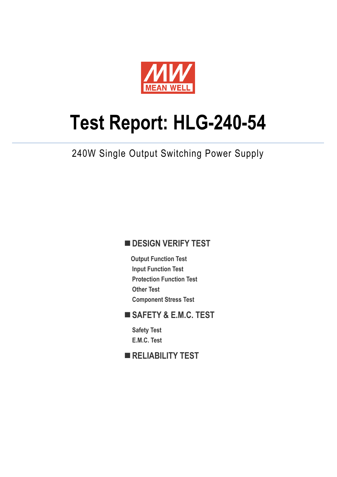

# **Test Report: HLG-240-54**

240W Single Output Switching Power Supply

# **DESIGN VERIFY TEST**

**Output Function Test Input Function Test Protection Function Test Other Test Component Stress Test** 

# **SAFETY & E.M.C. TEST**

**Safety Test E.M.C. Test** 

**RELIABILITY TEST**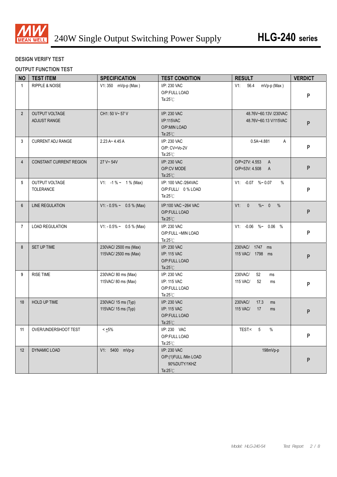

#### **DESIGN VERIFY TEST**

#### **OUTPUT FUNCTION TEST**

| <b>NO</b>      | <b>TEST ITEM</b>                   | <b>SPECIFICATION</b>                          | <b>TEST CONDITION</b>                                                       | <b>RESULT</b>                                      | <b>VERDICT</b> |
|----------------|------------------------------------|-----------------------------------------------|-----------------------------------------------------------------------------|----------------------------------------------------|----------------|
| $\mathbf{1}$   | <b>RIPPLE &amp; NOISE</b>          | V1: 350 mVp-p (Max)                           | I/P: 230 VAC<br>O/P:FULL LOAD<br>Ta: $25^{\circ}$ C                         | V1:<br>56.4<br>mVp-p (Max)                         | P              |
| $2^{\circ}$    | OUTPUT VOLTAGE<br>ADJUST RANGE     | CH1: 50 V~ 57 V                               | I/P: 230 VAC<br>I/P:115VAC<br>O/P:MIN LOAD<br>Ta: $25^{\circ}$ C            | 48.76V~60.13V /230VAC<br>48.76V~60.13 V/115VAC     | P              |
| 3              | <b>CURRENT ADJ RANGE</b>           | $2.23 A - 4.45 A$                             | I/P: 230 VAC<br>$O/P$ : $CV=Vo-2V$<br>Ta: $25^{\circ}$ C                    | $0.5A - 4.881$<br>A                                | P              |
| $\overline{4}$ | <b>CONSTANT CURRENT REGION</b>     | 27 V~54V                                      | I/P: 230 VAC<br>O/P:CV MODE<br>Ta: $25^{\circ}$ C                           | O/P=27V: 4.553 A<br>O/P=53V: 4.508 A               | P              |
| 5              | OUTPUT VOLTAGE<br><b>TOLERANCE</b> | $V1: -1\% \sim 1\%$ (Max)                     | I/P: 100 VAC /264VAC<br>O/P:FULL/ 0% LOAD<br>Ta: $25^{\circ}$ C             | $V1: -0.07 % ~0.07$<br>$\%$                        | P              |
| $6\phantom{a}$ | <b>LINE REGULATION</b>             | $V1: -0.5\% \sim 0.5\%$ (Max)                 | I/P:100 VAC ~264 VAC<br>O/P:FULL LOAD<br>Ta: $25^{\circ}$ C                 | V1: 0<br>% ~ 0<br>%                                | P              |
| $\overline{7}$ | <b>LOAD REGULATION</b>             | $V1: -0.5\% \sim 0.5\%$ (Max)                 | I/P: 230 VAC<br>O/P:FULL ~MIN LOAD<br>Ta: $25^{\circ}$ C                    | V1: -0.06 %~ 0.06 %                                | P              |
| 8              | SET UP TIME                        | 230VAC/2500 ms (Max)<br>115VAC/ 2500 ms (Max) | I/P: 230 VAC<br>I/P: 115 VAC<br>O/P:FULL LOAD<br>Ta: $25^{\circ}$ C         | 230VAC/ 1747 ms<br>115 VAC/ 1798 ms                | P              |
| 9              | <b>RISE TIME</b>                   | 230VAC/80 ms (Max)<br>115VAC/ 80 ms (Max)     | I/P: 230 VAC<br>I/P: 115 VAC<br>O/P:FULL LOAD<br>Ta: $25^{\circ}$ C         | 230VAC/<br>52<br>ms<br><b>115 VAC/</b><br>52<br>ms | P              |
| 10             | HOLD UP TIME                       | 230VAC/ 15 ms (Typ)<br>115VAC/ 15 ms (Typ)    | I/P: 230 VAC<br>I/P: 115 VAC<br>O/P:FULL LOAD<br>Ta: $25^{\circ}$ C         | 230VAC/<br>17.3<br>ms<br>115 VAC/<br>17<br>ms      | P              |
|                | 11 OVER/UNDERSHOOT TEST            | $<\pm5\%$                                     | I/P: 230 VAC<br>O/P:FULL LOAD<br>Ta:25 $^\circ$ C                           | TEST:< 5 %                                         | P              |
| 12             | DYNAMIC LOAD                       | V1: 5400 mVp-p                                | I/P: 230 VAC<br>O/P:(1)FULL /Min LOAD<br>90%DUTY/1KHZ<br>Ta: $25^{\circ}$ C | 198mVp-p                                           | P              |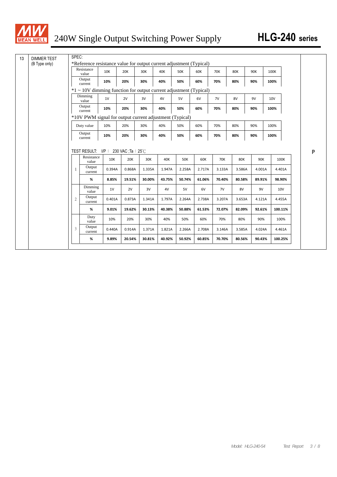

| <b>DIMMER TEST</b> | SPEC:          |                                                                     |        |            |        |        |            |        |            |            |        |                 |            |  |
|--------------------|----------------|---------------------------------------------------------------------|--------|------------|--------|--------|------------|--------|------------|------------|--------|-----------------|------------|--|
| (B Type only)      |                | *Reference resistance value for output current adjustment (Typical) |        |            |        |        |            |        |            |            |        |                 |            |  |
|                    |                | Resistance<br>value                                                 | 10K    | <b>20K</b> | 30K    | 40K    | <b>50K</b> | 60K    | <b>70K</b> | <b>80K</b> | 90K    | 100K            |            |  |
|                    |                | Output<br>current                                                   | 10%    | 20%        | 30%    | 40%    | 50%        | 60%    | 70%        | 80%        | 90%    | 100%            |            |  |
|                    |                | *1 ~ 10V dimming function for output current adjustment (Typical)   |        |            |        |        |            |        |            |            |        |                 |            |  |
|                    |                | Dimming<br>value                                                    | 1V     | 2V         | 3V     | 4V     | 5V         | 6V     | 7V         | 8V         | 9V     | 10 <sub>V</sub> |            |  |
|                    |                | Output<br>current                                                   | 10%    | 20%        | 30%    | 40%    | 50%        | 60%    | 70%        | 80%        | 90%    | 100%            |            |  |
|                    |                | *10V PWM signal for output current adjustment (Typical)             |        |            |        |        |            |        |            |            |        |                 |            |  |
|                    |                | Duty value                                                          | 10%    | 20%        | 30%    | 40%    | 50%        | 60%    | 70%        | 80%        | 90%    | 100%            |            |  |
|                    |                | Output                                                              | 10%    | 20%        | 30%    | 40%    | 50%        | 60%    | 70%        | 80%        | 90%    | 100%            |            |  |
|                    |                | current                                                             |        |            |        |        |            |        |            |            |        |                 |            |  |
|                    |                | TEST RESULT: I/P : 230 VAC;Ta : 25℃<br>Resistance<br>value          | 10K    | 20K        | 30K    | 40K    | 50K        | 60K    | <b>70K</b> | 80K        | 90K    |                 | 100K       |  |
|                    |                | Output<br>current                                                   | 0.394A | 0.868A     | 1.335A | 1.947A | 2.258A     | 2.717A | 3.133A     | 3.586A     | 4.001A |                 | 4.401A     |  |
|                    |                | %                                                                   | 8.85%  | 19.51%     | 30.00% | 43.75% | 50.74%     | 61.06% | 70.40%     | 80.58%     | 89.91% |                 | 98.90%     |  |
|                    |                | Dimming<br>value                                                    | 1V     | 2V         | 3V     | 4V     | 5V         | 6V     | 7V         | 8V         | 9V     |                 | <b>10V</b> |  |
|                    | $\overline{c}$ | Output<br>current                                                   | 0.401A | 0.873A     | 1.341A | 1.797A | 2.264A     | 2.738A | 3.207A     | 3.653A     | 4.121A |                 | 4.455A     |  |
|                    |                | %                                                                   | 9.01%  | 19.62%     | 30.13% | 40.38% | 50.88%     | 61.53% | 72.07%     | 82.09%     | 92.61% |                 | 100.11%    |  |
|                    |                | Duty<br>value                                                       | 10%    | 20%        | 30%    | 40%    | 50%        | 60%    | 70%        | 80%        | 90%    |                 | 100%       |  |
|                    | 3              | Output<br>current                                                   | 0.440A | 0.914A     | 1.371A | 1.821A | 2.266A     | 2.708A | 3.146A     | 3.585A     | 4.024A |                 | 4.461A     |  |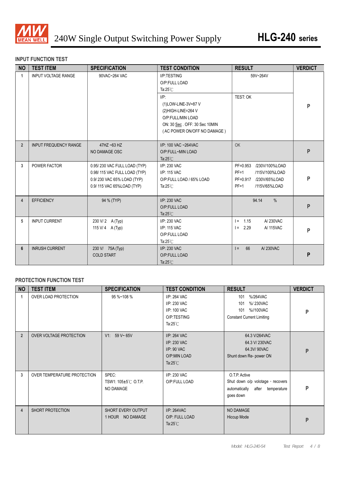

#### **INPUT FUNCTION TEST**

| <b>NO</b>               | <b>TEST ITEM</b>             | <b>SPECIFICATION</b>                                                                                                    | <b>TEST CONDITION</b>                                                                                                                      | <b>RESULT</b>                                                                                            | <b>VERDICT</b> |
|-------------------------|------------------------------|-------------------------------------------------------------------------------------------------------------------------|--------------------------------------------------------------------------------------------------------------------------------------------|----------------------------------------------------------------------------------------------------------|----------------|
| $\mathbf{1}$            | <b>INPUT VOLTAGE RANGE</b>   | 90VAC~264 VAC                                                                                                           | I/P:TESTING<br>O/P:FULL LOAD<br>Ta: $25^{\circ}$ C                                                                                         | 59V~264V                                                                                                 |                |
|                         |                              |                                                                                                                         | $I/P$ :<br>(1) LOW-LINE-3V=87 V<br>(2)HIGH-LINE=264 V<br>O/P:FULL/MIN LOAD<br>ON: 30 Sec. OFF: 30 Sec 10MIN<br>(AC POWER ON/OFF NO DAMAGE) | TEST: OK                                                                                                 | P              |
| $\overline{2}$          | <b>INPUT FREQUENCY RANGE</b> | 47HZ ~63 HZ<br>NO DAMAGE OSC                                                                                            | I/P: 100 VAC ~264VAC<br>O/P:FULL~MIN LOAD<br>Ta: $25^{\circ}$ C                                                                            | OK                                                                                                       | P              |
| 3                       | POWER FACTOR                 | 0.95/230 VAC FULL LOAD (TYP)<br>0.98/115 VAC FULL LOAD (TYP)<br>0.9/230 VAC 65% LOAD (TYP)<br>0.9/115 VAC 65%LOAD (TYP) | I/P: 230 VAC<br>I/P: 115 VAC<br>O/P:FULL LOAD / 65% LOAD<br>Ta: $25^{\circ}$ C                                                             | PF=0.953 /230V/100%LOAD<br>$PF=1$<br>/115V/100%LOAD<br>PF=0.917 /230V/65%LOAD<br>$PF=1$<br>/115V/65%LOAD | P              |
| $\overline{\mathbf{4}}$ | <b>EFFICIENCY</b>            | 94 % (TYP)                                                                                                              | I/P: 230 VAC<br>O/P:FULL LOAD<br>Ta: $25^{\circ}$ C                                                                                        | $\frac{0}{0}$<br>94.14                                                                                   | P              |
| 5                       | <b>INPUT CURRENT</b>         | 230 V/2 A (Typ)<br>115 V/ 4 A (Typ)                                                                                     | I/P: 230 VAC<br>I/P: 115 VAC<br>O/P:FULL LOAD<br>Ta: $25^{\circ}$ C                                                                        | $1 = 1.15$<br>A/230VAC<br>$I = 2.29$<br>A/ 115VAC                                                        | P              |
| 6                       | <b>INRUSH CURRENT</b>        | 230 V/ 75A (Typ)<br><b>COLD START</b>                                                                                   | I/P: 230 VAC<br>O/P:FULL LOAD<br>Ta: $25^{\circ}$ C                                                                                        | 66<br>A/230VAC<br>$=$                                                                                    | P              |

#### **PROTECTION FUNCTION TEST**

| <b>NO</b>      | <b>TEST ITEM</b>            | <b>SPECIFICATION</b>                      | <b>TEST CONDITION</b>                                                             | <b>RESULT</b>                                                                                        | <b>VERDICT</b> |
|----------------|-----------------------------|-------------------------------------------|-----------------------------------------------------------------------------------|------------------------------------------------------------------------------------------------------|----------------|
| -1             | OVER LOAD PROTECTION        | 95 %~108 %                                | I/P: 264 VAC<br>I/P: 230 VAC<br>I/P: 100 VAC<br>O/P:TESTING<br>Ta: $25^{\circ}$ C | %/264VAC<br>101<br>%/230VAC<br>101<br>%//100VAC<br>101<br><b>Constant Current Limiting</b>           | P              |
| $\overline{2}$ | OVER VOLTAGE PROTECTION     | V1: 59 V~65V                              | I/P: 264 VAC<br>I/P: 230 VAC<br>I/P: 90 VAC<br>O/P:MIN LOAD<br>Ta: $25^{\circ}$ C | 64.3 V/264VAC<br>64.3 V/230VAC<br>64.3V/90VAC<br>Shunt down Re- power ON                             | P              |
| 3              | OVER TEMPERATURE PROTECTION | SPEC:<br>TSW1: 105±5℃ O.T.P.<br>NO DAMAGE | I/P: 230 VAC<br>O/P:FULL LOAD                                                     | O.T.P. Active<br>Shut down o/p volotage, recovers<br>automatically after<br>temperature<br>goes down | P              |
| $\overline{4}$ | SHORT PROTECTION            | SHORT EVERY OUTPUT<br>1 HOUR NO DAMAGE    | I/P: 264VAC<br>O/P: FULL LOAD<br>Ta: $25^{\circ}$ C                               | NO DAMAGE<br>Hiccup Mode                                                                             | P              |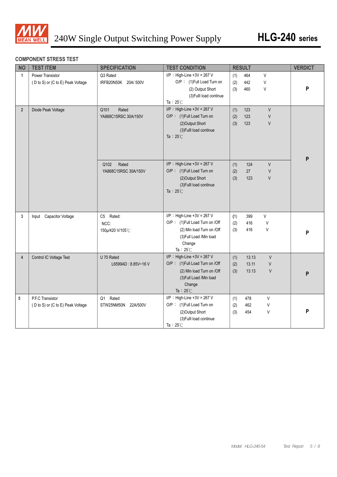

#### **COMPONENT STRESS TEST**

| <b>NO</b>      | <b>TEST ITEM</b>                                      | <b>SPECIFICATION</b>                  | <b>TEST CONDITION</b>                                                                                                                                 |                   | <b>RESULT</b>           |                                  | <b>VERDICT</b> |
|----------------|-------------------------------------------------------|---------------------------------------|-------------------------------------------------------------------------------------------------------------------------------------------------------|-------------------|-------------------------|----------------------------------|----------------|
| $\mathbf{1}$   | Power Transistor<br>(D to S) or (C to E) Peak Voltage | Q3 Rated<br>IRFB20N50K 20A/ 500V      | $I/P$ : High-Line +3V = 267 V<br>O/P: (1)Full Load Turn on<br>(2) Output Short<br>(3) Fulll load continue<br>Ta: $25^{\circ}$ C                       | (1)<br>(2)<br>(3) | 464<br>442<br>460       | V<br>V<br>V                      | P              |
| $2^{\circ}$    | Diode Peak Voltage                                    | Rated<br>Q101<br>YA868C15RSC 30A/150V | I/P : High-Line +3V = 267 V<br>O/P: (1)Full Load Turn on<br>(2) Output Short<br>(3) Fulll load continue<br>Ta: $25^{\circ}$ C                         | (1)<br>(2)<br>(3) | 123<br>123<br>123       | $\vee$<br>$\vee$<br>$\vee$       | P              |
|                |                                                       | Rated<br>Q102<br>YA868C15RSC 30A/150V | $I/P$ : High-Line +3V = 267 V<br>O/P: (1)Full Load Turn on<br>(2) Output Short<br>(3) Fulll load continue<br>Ta: $25^{\circ}$ C                       | (1)<br>(2)<br>(3) | 124<br>27<br>123        | $\vee$<br>$\vee$<br>$\vee$       |                |
| $\overline{3}$ | Input Capacitor Voltage                               | C5 Rated:<br>NCC:<br>150µ/420 V/105°C | I/P : High-Line +3V = 267 V<br>O/P: (1)Full Load Turn on /Off<br>(2) Min load Turn on /Off<br>(3) Full Load /Min load<br>Change<br>Ta: $25^{\circ}$ C | (1)<br>(2)<br>(3) | 399<br>416<br>416       | V<br>$\vee$<br>V                 | P              |
| $\overline{4}$ | Control IC Voltage Test                               | U 70 Rated<br>L6599AD: 8.85V~16V      | I/P : High-Line +3V = 267 V<br>O/P: (1)Full Load Turn on /Off<br>(2) Min load Turn on /Off<br>(3) Full Load /Min load<br>Change<br>Ta: $25^{\circ}$ C | (1)<br>(2)<br>(3) | 13.13<br>13.11<br>13.13 | $\vee$<br>$\vee$<br>$\vee$       | P              |
| 5              | P.F.C Transistor<br>(D to S) or (C to E) Peak Voltage | Rated<br>Q1<br>STW25NM50N 22A/500V    | $I/P$ : High-Line +3V = 267 V<br>O/P: (1)Full Load Turn on<br>(2) Output Short<br>(3) Fulll load continue<br>Ta: $25^{\circ}$ C                       | (1)<br>(2)<br>(3) | 478<br>462<br>454       | $\mathsf{V}$<br>$\vee$<br>$\vee$ | P              |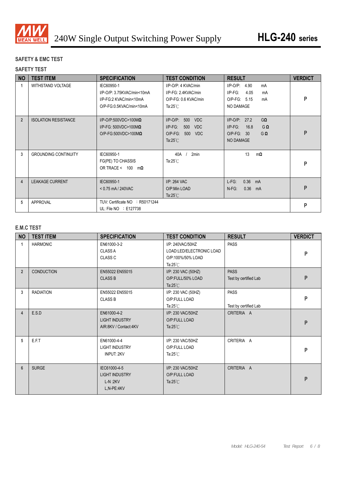

### **SAFETY & EMC TEST**

#### **SAFETY TEST**

| <b>NO</b>      | <b>TEST ITEM</b>            | <b>SPECIFICATION</b>                                                                              | <b>TEST CONDITION</b>                                                                                           | <b>RESULT</b>                                                                                        | <b>VERDICT</b> |
|----------------|-----------------------------|---------------------------------------------------------------------------------------------------|-----------------------------------------------------------------------------------------------------------------|------------------------------------------------------------------------------------------------------|----------------|
| 1              | WITHSTAND VOLTAGE           | IEC60950-1<br>I/P-O/P: 3.75KVAC/min<10mA<br>I/P-FG:2 KVAC/min<10mA<br>O/P-FG:0.5KVAC/min<10mA     | I/P-O/P: 4 KVAC/min<br>I/P-FG: 2.4KVAC/min<br>O/P-FG: 0.6 KVAC/min<br>Ta: $25^{\circ}$ C                        | $I/P$ -O/P:<br>4.90<br>mA<br>$I/P-FG$ :<br>4.05<br>mA<br>O/P-FG: 5.15<br>mA<br>NO DAMAGE             | P              |
| $\overline{2}$ | <b>ISOLATION RESISTANCE</b> | $I/P$ -O/P:500VDC>100M $\Omega$<br>I/P-FG: 500VDC>100M $\Omega$<br>$O/P$ -FG:500VDC>100M $\Omega$ | $I/P$ -O/P:<br>500<br><b>VDC</b><br>$I/P-FG$ :<br>500<br><b>VDC</b><br>O/P-FG: 500<br>VDC<br>Ta: $25^{\circ}$ C | $I/P$ -O/P: 27.2<br>$G\Omega$<br>$I/P-FG$ :<br>16.8<br>GΩ<br>$O/P-FG$ : 30<br>$G\Omega$<br>NO DAMAGE | P              |
| 3              | <b>GROUNDING CONTINUITY</b> | IEC60950-1<br>FG(PE) TO CHASSIS<br>OR TRACE < $100 \text{ m}\Omega$                               | 2min<br>40A<br>Ta: $25^{\circ}$ C                                                                               | 13<br>$m\Omega$                                                                                      | P              |
| $\overline{4}$ | <b>LEAKAGE CURRENT</b>      | IEC60950-1<br>$< 0.75$ mA / 240VAC                                                                | I/P: 264 VAC<br>O/P:Min LOAD<br>Ta: $25^{\circ}$ C                                                              | 0.36<br>$L-FG$ :<br>mA<br>$0.36$ mA<br>$N-FG$ :                                                      | P              |
| 5              | APPROVAL                    | TUV: Certificate NO : R50171244<br>UL: File $NO \div E127738$                                     |                                                                                                                 |                                                                                                      | P              |

#### **E.M.C TEST**

| <b>NO</b>      | <b>TEST ITEM</b>  | <b>SPECIFICATION</b>                                             | <b>TEST CONDITION</b>                                                                   | <b>RESULT</b>                        | <b>VERDICT</b> |
|----------------|-------------------|------------------------------------------------------------------|-----------------------------------------------------------------------------------------|--------------------------------------|----------------|
| 1              | <b>HARMONIC</b>   | EN61000-3-2<br><b>CLASS A</b><br><b>CLASS C</b>                  | I/P: 240VAC/50HZ<br>LOAD:LED/ELECTRONIC LOAD<br>O/P:100%/50% LOAD<br>Ta: $25^{\circ}$ C | PASS                                 | P              |
| $2^{\circ}$    | <b>CONDUCTION</b> | EN55022 EN55015<br><b>CLASS B</b>                                | I/P: 230 VAC (50HZ)<br>O/P:FULL/50% LOAD<br>Ta: $25^{\circ}$ C                          | <b>PASS</b><br>Test by certified Lab | P              |
| 3 <sup>1</sup> | <b>RADIATION</b>  | EN55022 EN55015<br><b>CLASS B</b>                                | I/P: 230 VAC (50HZ)<br>O/P:FULL LOAD<br>Ta: $25^{\circ}$ C                              | PASS<br>Test by certified Lab        | P              |
| $\overline{4}$ | E.S.D             | EN61000-4-2<br><b>LIGHT INDUSTRY</b><br>AIR:8KV / Contact:4KV    | I/P: 230 VAC/50HZ<br>O/P:FULL LOAD<br>Ta: $25^{\circ}$ C                                | CRITERIA A                           | P              |
| 5              | E.F.T             | EN61000-4-4<br><b>LIGHT INDUSTRY</b><br><b>INPUT: 2KV</b>        | I/P: 230 VAC/50HZ<br>O/P:FULL LOAD<br>Ta: $25^{\circ}$ C                                | CRITERIA A                           | P              |
| $6\phantom{a}$ | <b>SURGE</b>      | IEC61000-4-5<br><b>LIGHT INDUSTRY</b><br>$L-N:2KV$<br>L.N-PE:4KV | I/P: 230 VAC/50HZ<br>O/P:FULL LOAD<br>Ta: $25^{\circ}$ C                                | CRITERIA A                           | P              |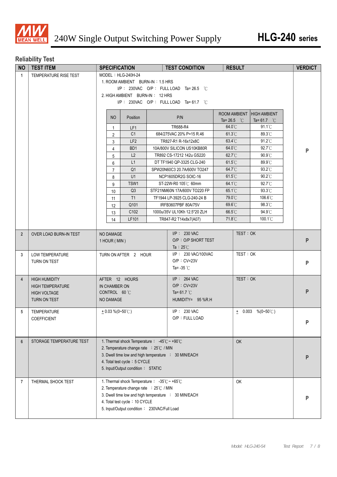

# **Reliability Test**

| <b>NO</b>      | <b>TEST ITEM</b>         |                                       |                    | <b>SPECIFICATION</b>                                              |  | <b>TEST CONDITION</b>                                | <b>RESULT</b>        |           |                       |   | <b>VERDICT</b> |  |  |
|----------------|--------------------------|---------------------------------------|--------------------|-------------------------------------------------------------------|--|------------------------------------------------------|----------------------|-----------|-----------------------|---|----------------|--|--|
| $\mathbf{1}$   | TEMPERATURE RISE TEST    | MODEL: HLG-240H-24                    |                    |                                                                   |  |                                                      |                      |           |                       |   |                |  |  |
|                |                          | 1. ROOM AMBIENT BURN-IN: 1.5 HRS      |                    |                                                                   |  |                                                      |                      |           |                       |   |                |  |  |
|                |                          | I/P: 230VAC O/P: FULL LOAD Ta=26.5 °C |                    |                                                                   |  |                                                      |                      |           |                       |   |                |  |  |
|                |                          |                                       |                    | 2. HIGH AMBIENT BURN-IN: 12 HRS                                   |  |                                                      |                      |           |                       |   |                |  |  |
|                |                          |                                       |                    |                                                                   |  | I/P: 230VAC O/P: FULL LOAD Ta=61.7 °C                |                      |           |                       |   |                |  |  |
|                |                          |                                       |                    |                                                                   |  |                                                      | ROOM AMBIENT         |           | <b>HIGH AMBIENT</b>   |   |                |  |  |
|                |                          |                                       | N <sub>O</sub>     | Position                                                          |  | P/N                                                  | Ta= 26.5 $\degree$ C |           | Ta= 61.7 $^{\circ}$ C |   |                |  |  |
|                |                          |                                       | $\mathbf{1}$       | LF1                                                               |  | TR688-R4                                             | 64.0°C               |           | $91.1^{\circ}$ C      |   |                |  |  |
|                |                          |                                       | $\overline{2}$     | C <sub>1</sub>                                                    |  | 684/275VAC 20% P=15 R.46                             | $61.3^{\circ}$ C     |           | 89.3°C                |   |                |  |  |
|                |                          |                                       | 3                  | LF <sub>2</sub>                                                   |  | TR827-R1 R-16x12x8C                                  | 63.4°C               |           | $91.2^{\circ}$ C      |   |                |  |  |
|                |                          |                                       | $\overline{4}$     | BD1                                                               |  | 10A/800V SILICON US10KB80R                           | 64.0°C               |           | 92.7°C                |   | P              |  |  |
|                |                          |                                       | 5                  | L2                                                                |  | TR892 CS-17212 142u GS220                            | 62.7°C               |           | 90.9°C                |   |                |  |  |
|                |                          |                                       | 6                  | L1                                                                |  | DT TF1940 QP-3325 CLG-240                            | $61.5^{\circ}$ C     |           | 89.9°C                |   |                |  |  |
|                |                          |                                       | $\overline{7}$     | Q <sub>1</sub>                                                    |  | SPW20N60C3 20.7A/600V TO247                          | 64.7°C               |           | 93.2°C                |   |                |  |  |
|                |                          |                                       | 8                  | U1                                                                |  | NCP1605DR2G SOIC-16                                  | $61.5^{\circ}$ C     |           | 90.2°C                |   |                |  |  |
|                |                          |                                       | 9                  | TSW1                                                              |  | ST-22W-R0 105℃ 60mm                                  | $64.1^{\circ}$ C     |           | 92.7°C                |   |                |  |  |
|                |                          |                                       | 10                 | Q3                                                                |  | STF21NM60N 17A/600V TO220 FP                         | 65.1°C               |           | 93.3°C                |   |                |  |  |
|                |                          |                                       | 11                 | T1                                                                |  | TF1944 LP-3925 CLG-240-24 B                          | 79.0°C               |           | 106.6°C               |   |                |  |  |
|                |                          |                                       | 12                 | Q101                                                              |  | IRFB3607PBF 80A/75V                                  | 69.6°C               |           | 98.3°C                |   |                |  |  |
|                |                          |                                       | 13                 | C102                                                              |  | 1000u/35V UL10Kh 12.5*20 ZLH                         | 66.5°C               |           | 94.9°C                |   |                |  |  |
|                |                          |                                       | 14                 | LF101                                                             |  | TR847-R2 T14x8x7(A07)                                | 71.8°C               |           | $100.1^{\circ}$ C     |   |                |  |  |
|                |                          |                                       |                    |                                                                   |  |                                                      |                      |           |                       |   |                |  |  |
| $\overline{2}$ | OVER LOAD BURN-IN TEST   |                                       | NO DAMAGE          |                                                                   |  | $I/P$ : 230 VAC                                      |                      | TEST: OK  |                       |   |                |  |  |
|                |                          |                                       | 1 HOUR (MIN)       |                                                                   |  | O/P: O/P SHORT TEST                                  |                      |           |                       |   | P              |  |  |
|                |                          |                                       |                    |                                                                   |  | Ta : $25^{\circ}$ C                                  |                      |           |                       |   |                |  |  |
| 3              | LOW TEMPERATURE          |                                       |                    | TURN ON AFTER 2 HOUR                                              |  | I/P: 230 VAC/100VAC                                  |                      | TEST: OK  |                       |   |                |  |  |
|                | TURN ON TEST             |                                       |                    |                                                                   |  | $O/P : CV=23V$                                       |                      |           |                       |   | P              |  |  |
|                |                          |                                       |                    |                                                                   |  | Ta= $-35^{\circ}$ C                                  |                      |           |                       |   |                |  |  |
| $\overline{4}$ | <b>HIGH HUMIDITY</b>     |                                       |                    | AFTER 12 HOURS                                                    |  | $I/P$ : 264 VAC                                      |                      | TEST: OK  |                       |   |                |  |  |
|                | <b>HIGH TEMPERATURE</b>  |                                       | IN CHAMBER ON      |                                                                   |  | $O/P : CV=23V$                                       |                      |           |                       |   |                |  |  |
|                | <b>HIGH VOLTAGE</b>      |                                       | CONTROL 60 °C      |                                                                   |  | Ta= $61.7^{\circ}$ C                                 |                      |           |                       |   | P              |  |  |
|                | TURN ON TEST             |                                       | NO DAMAGE          |                                                                   |  | HUMIDITY= 95 %R.H                                    |                      |           |                       |   |                |  |  |
| 5              | <b>TEMPERATURE</b>       |                                       | $+0.03\%$ (0~50°C) |                                                                   |  | $I/P: 230$ VAC                                       |                      |           | $\pm$ 0.003 %(0~50°C) |   |                |  |  |
|                | COEFFICIENT              |                                       |                    |                                                                   |  | O/P: FULL LOAD                                       |                      |           |                       |   |                |  |  |
|                |                          |                                       |                    |                                                                   |  |                                                      |                      |           |                       |   | P              |  |  |
|                |                          |                                       |                    |                                                                   |  |                                                      |                      |           |                       |   |                |  |  |
| 6              | STORAGE TEMPERATURE TEST |                                       |                    | 1. Thermal shock Temperature : $-45^{\circ}$ C ~ +90 $^{\circ}$ C |  |                                                      |                      | <b>OK</b> |                       |   |                |  |  |
|                |                          |                                       |                    | 2. Temperature change rate : 25°C / MIN                           |  |                                                      |                      |           |                       |   |                |  |  |
|                |                          |                                       |                    |                                                                   |  | 3. Dwell time low and high temperature : 30 MIN/EACH |                      |           |                       |   |                |  |  |
|                |                          |                                       |                    | 4. Total test cycle: 5 CYCLE                                      |  |                                                      |                      |           |                       |   | P              |  |  |
|                |                          |                                       |                    | 5. Input/Output condition: STATIC                                 |  |                                                      |                      |           |                       |   |                |  |  |
|                |                          |                                       |                    |                                                                   |  |                                                      |                      |           |                       |   |                |  |  |
| 7              | THERMAL SHOCK TEST       |                                       |                    | 1. Thermal shock Temperature: -35°C ~ +65°C                       |  |                                                      |                      | OK        |                       |   |                |  |  |
|                |                          |                                       |                    | 2. Temperature change rate : 25°C / MIN                           |  |                                                      |                      |           |                       |   |                |  |  |
|                |                          |                                       |                    |                                                                   |  | 3. Dwell time low and high temperature : 30 MIN/EACH |                      |           |                       | P |                |  |  |
|                |                          |                                       |                    | 4. Total test cycle: 10 CYCLE                                     |  |                                                      |                      |           |                       |   |                |  |  |
|                |                          |                                       |                    | 5. Input/Output condition: 230VAC/Full Load                       |  |                                                      |                      |           |                       |   |                |  |  |
|                |                          |                                       |                    |                                                                   |  |                                                      |                      |           |                       |   |                |  |  |